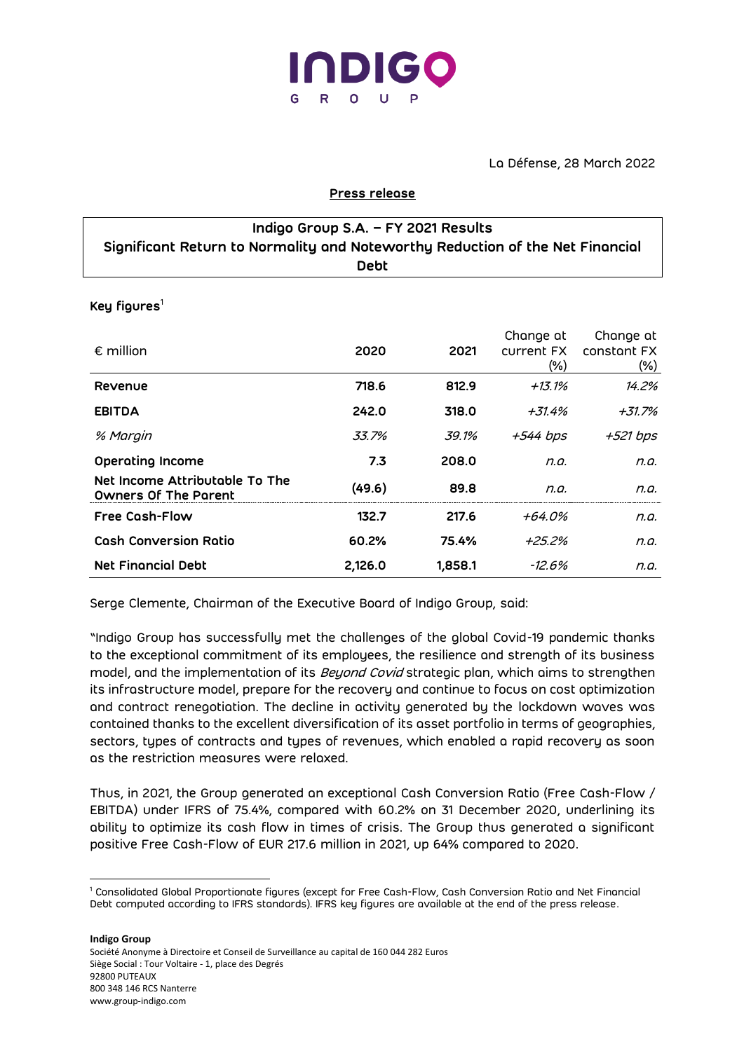

La Défense, 28 March 2022

### **Press release**

| Indigo Group S.A. - FY 2021 Results                                           |  |  |  |  |  |
|-------------------------------------------------------------------------------|--|--|--|--|--|
| Significant Return to Normality and Noteworthy Reduction of the Net Financial |  |  |  |  |  |
| Debt                                                                          |  |  |  |  |  |

**Key figures**<sup>1</sup>

| $\epsilon$ million                                            | 2020    | 2021    | Change at<br>current FX<br>$(\%)$ | Change at<br>constant FX<br>$(\%)$ |
|---------------------------------------------------------------|---------|---------|-----------------------------------|------------------------------------|
| Revenue                                                       | 718.6   | 812.9   | $+13.1%$                          | 14.2%                              |
| <b>EBITDA</b>                                                 | 242.0   | 318.0   | +31.4%                            | +31.7%                             |
| % Margin                                                      | 33.7%   | 39.1%   | +544 bps                          | +521 bps                           |
| <b>Operating Income</b>                                       | 7.3     | 208.0   | n.a.                              | n.a.                               |
| Net Income Attributable To The<br><b>Owners Of The Parent</b> | (49.6)  | 89.8    | n.a.                              | n.a.                               |
| <b>Free Cosh-Flow</b>                                         | 132.7   | 217.6   | +64.0%                            | n.a.                               |
| <b>Cash Conversion Ratio</b>                                  | 60.2%   | 75.4%   | +25.2%                            | n.a.                               |
| <b>Net Financial Debt</b>                                     | 2,126.0 | 1,858.1 | -12.6%                            | n.a.                               |

Serge Clemente, Chairman of the Executive Board of Indigo Group, said:

"Indigo Group has successfully met the challenges of the global Covid-19 pandemic thanks to the exceptional commitment of its employees, the resilience and strength of its business model, and the implementation of its *Beyond Covid* strategic plan, which aims to strengthen its infrastructure model, prepare for the recovery and continue to focus on cost optimization and contract renegotiation. The decline in activity generated by the lockdown waves was contained thanks to the excellent diversification of its asset portfolio in terms of geographies, sectors, types of contracts and types of revenues, which enabled a rapid recovery as soon as the restriction measures were relaxed.

Thus, in 2021, the Group generated an exceptional Cash Conversion Ratio (Free Cash-Flow / EBITDA) under IFRS of 75.4%, compared with 60.2% on 31 December 2020, underlining its ability to optimize its cash flow in times of crisis. The Group thus generated a significant positive Free Cash-Flow of EUR 217.6 million in 2021, up 64% compared to 2020.

**Indigo Group**

Société Anonyme à Directoire et Conseil de Surveillance au capital de 160 044 282 Euros Siège Social : Tour Voltaire - 1, place des Degrés 92800 PUTEAUX 800 348 146 RCS Nanterre www.group-indigo.com

<sup>1</sup> Consolidated Global Proportionate figures (except for Free Cash-Flow, Cash Conversion Ratio and Net Financial Debt computed according to IFRS standards). IFRS key figures are available at the end of the press release.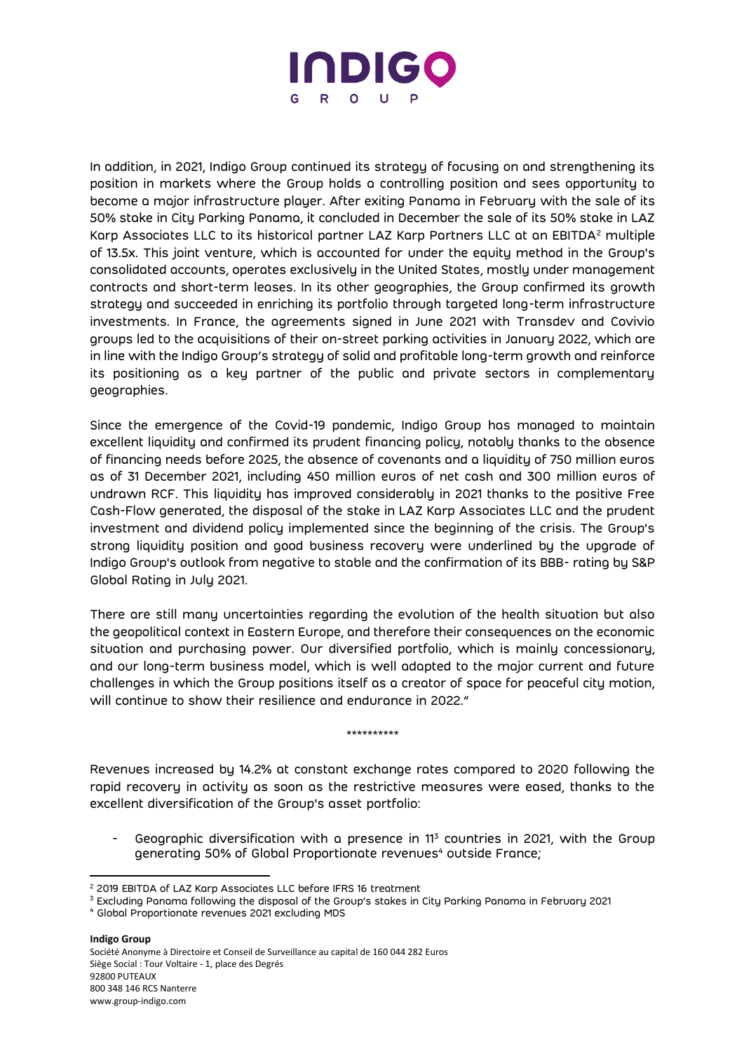

In addition, in 2021, Indigo Group continued its strategy of focusing on and strengthening its position in markets where the Group holds a controlling position and sees opportunity to become a major infrastructure player. After exiting Panama in February with the sale of its 50% stake in City Parking Panama, it concluded in December the sale of its 50% stake in LAZ Karp Associates LLC to its historical partner LAZ Karp Partners LLC at an EBITDA<sup>2</sup> multiple of 13.5x. This joint venture, which is accounted for under the equity method in the Group's consolidated accounts, operates exclusively in the United States, mostly under management contracts and short-term leases. In its other geographies, the Group confirmed its growth strategy and succeeded in enriching its portfolio through targeted long-term infrastructure investments. In France, the agreements signed in June 2021 with Transdev and Covivio groups led to the acquisitions of their on-street parking activities in January 2022, which are in line with the Indigo Group's strategy of solid and profitable long-term growth and reinforce its positioning as a key partner of the public and private sectors in complementary geographies.

Since the emergence of the Covid-19 pandemic, Indigo Group has managed to maintain excellent liquidity and confirmed its prudent financing policy, notably thanks to the absence of financing needs before 2025, the absence of covenants and a liquidity of 750 million euros as of 31 December 2021, including 450 million euros of net cash and 300 million euros of undrawn RCF. This liquidity has improved considerably in 2021 thanks to the positive Free Cash-Flow generated, the disposal of the stake in LAZ Karp Associates LLC and the prudent investment and dividend policy implemented since the beginning of the crisis. The Group's strong liquidity position and good business recovery were underlined by the upgrade of Indigo Group's outlook from negative to stable and the confirmation of its BBB- rating by S&P Global Rating in July 2021.

There are still many uncertainties regarding the evolution of the health situation but also the geopolitical context in Eastern Europe, and therefore their consequences on the economic situation and purchasing power. Our diversified portfolio, which is mainly concessionary, and our long-term business model, which is well adapted to the major current and future challenges in which the Group positions itself as a creator of space for peaceful city motion, will continue to show their resilience and endurance in 2022."

Revenues increased by 14.2% at constant exchange rates compared to 2020 following the rapid recovery in activity as soon as the restrictive measures were eased, thanks to the excellent diversification of the Group's asset portfolio:

\*\*\*\*\*\*\*\*\*\*

Geographic diversification with a presence in 11<sup>3</sup> countries in 2021, with the Group generating 50% of Global Proportionate revenues<sup>4</sup> outside France;

**Indigo Group**

Société Anonyme à Directoire et Conseil de Surveillance au capital de 160 044 282 Euros Siège Social : Tour Voltaire - 1, place des Degrés 92800 PUTEAUX 800 348 146 RCS Nanterre www.group-indigo.com

<sup>2</sup> 2019 EBITDA of LAZ Karp Associates LLC before IFRS 16 treatment

<sup>&</sup>lt;sup>3</sup> Excluding Panama following the disposal of the Group's stakes in City Parking Panama in February 2021

<sup>4</sup> Global Proportionate revenues 2021 excluding MDS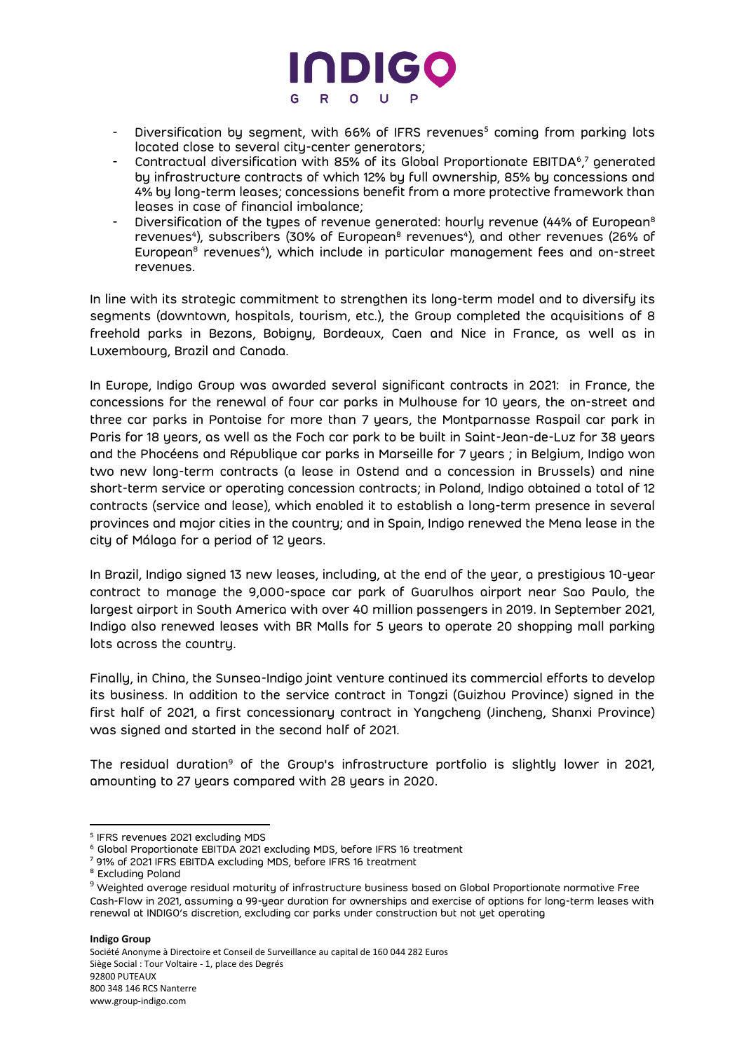

- Diversification by segment, with 66% of IFRS revenues<sup>5</sup> coming from parking lots located close to several city-center generators;
- Contractual diversification with 85% of its Global Proportionate EBITDA<sup>6</sup>,<sup>7</sup> generated by infrastructure contracts of which 12% by full ownership, 85% by concessions and 4% by long-term leases; concessions benefit from a more protective framework than leases in case of financial imbalance;
- Diversification of the types of revenue generated: hourly revenue (44% of European<sup>8</sup> revenues<sup>4</sup>), subscribers (30% of European<sup>8</sup> revenues<sup>4</sup>), and other revenues (26% of European<sup>8</sup> revenues<sup>4</sup>), which include in particular management fees and on-street revenues.

In line with its strategic commitment to strengthen its long-term model and to diversify its segments (downtown, hospitals, tourism, etc.), the Group completed the acquisitions of 8 freehold parks in Bezons, Bobigny, Bordeaux, Caen and Nice in France, as well as in Luxembourg, Brazil and Canada.

In Europe, Indigo Group was awarded several significant contracts in 2021: in France, the concessions for the renewal of four car parks in Mulhouse for 10 years, the on-street and three car parks in Pontoise for more than 7 years, the Montparnasse Raspail car park in Paris for 18 years, as well as the Foch car park to be built in Saint-Jean-de-Luz for 38 years and the Phocéens and République car parks in Marseille for 7 years ; in Belgium, Indigo won two new long-term contracts (a lease in Ostend and a concession in Brussels) and nine short-term service or operating concession contracts; in Poland, Indigo obtained a total of 12 contracts (service and lease), which enabled it to establish a long-term presence in several provinces and major cities in the country; and in Spain, Indigo renewed the Mena lease in the city of Málaga for a period of 12 years.

In Brazil, Indigo signed 13 new leases, including, at the end of the year, a prestigious 10-year contract to manage the 9,000-space car park of Guarulhos airport near Sao Paulo, the largest airport in South America with over 40 million passengers in 2019. In September 2021, Indigo also renewed leases with BR Malls for 5 years to operate 20 shopping mall parking lots across the country.

Finally, in China, the Sunsea-Indigo joint venture continued its commercial efforts to develop its business. In addition to the service contract in Tongzi (Guizhou Province) signed in the first half of 2021, a first concessionary contract in Yangcheng (Jincheng, Shanxi Province) was signed and started in the second half of 2021.

The residual duration<sup>9</sup> of the Group's infrastructure portfolio is slightly lower in 2021, amounting to 27 years compared with 28 years in 2020.

**Indigo Group**

Société Anonyme à Directoire et Conseil de Surveillance au capital de 160 044 282 Euros Siège Social : Tour Voltaire - 1, place des Degrés 92800 PUTEAUX 800 348 146 RCS Nanterre www.group-indigo.com

<sup>5</sup> IFRS revenues 2021 excluding MDS

<sup>6</sup> Global Proportionate EBITDA 2021 excluding MDS, before IFRS 16 treatment

<sup>7</sup> 91% of 2021 IFRS EBITDA excluding MDS, before IFRS 16 treatment

<sup>&</sup>lt;sup>8</sup> Excluding Poland

<sup>&</sup>lt;sup>9</sup> Weighted average residual maturity of infrastructure business based on Global Proportionate normative Free Cash-Flow in 2021, assuming a 99-year duration for ownerships and exercise of options for long-term leases with renewal at INDIGO's discretion, excluding car parks under construction but not yet operating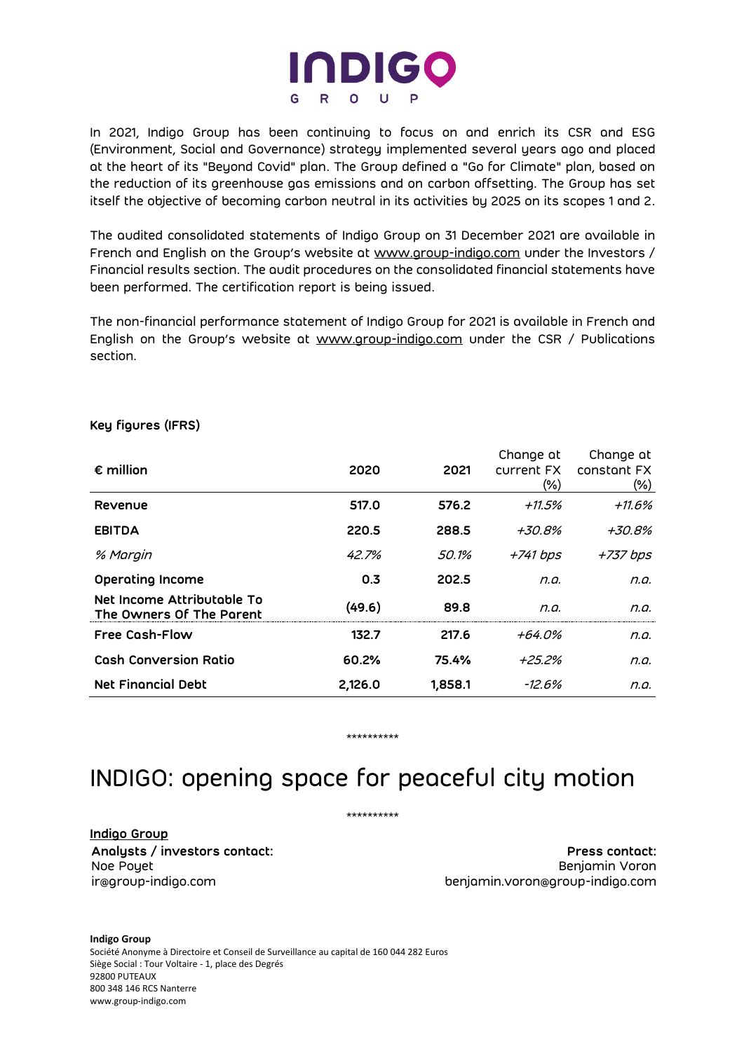

In 2021, Indigo Group has been continuing to focus on and enrich its CSR and ESG (Environment, Social and Governance) strategy implemented several years ago and placed at the heart of its "Beyond Covid" plan. The Group defined a "Go for Climate" plan, based on the reduction of its greenhouse gas emissions and on carbon offsetting. The Group has set itself the objective of becoming carbon neutral in its activities by 2025 on its scopes 1 and 2.

The audited consolidated statements of Indigo Group on 31 December 2021 are available in French and English on the Group's website at www.group-indigo.com under the Investors / Financial results section. The audit procedures on the consolidated financial statements have been performed. The certification report is being issued.

The non-financial performance statement of Indigo Group for 2021 is available in French and English on the Group's website at www.group-indigo.com under the CSR / Publications section.

| $\epsilon$ million                                     | 2020    | 2021    | Change at<br>current FX<br>$(\% )$ | Change at<br>constant FX<br>$(\%)$ |
|--------------------------------------------------------|---------|---------|------------------------------------|------------------------------------|
| Revenue                                                | 517.0   | 576.2   | +11.5%                             | $+11.6\%$                          |
| <b>EBITDA</b>                                          | 220.5   | 288.5   | +30.8%                             | +30.8%                             |
| % Margin                                               | 42.7%   | 50.1%   | +741 bps                           | +737 bps                           |
| <b>Operating Income</b>                                | 0.3     | 202.5   | n.a.                               | n.a.                               |
| Net Income Attributable To<br>The Owners Of The Parent | (49.6)  | 89.8    | n.a.                               | n.a.                               |
| <b>Free Cash-Flow</b>                                  | 132.7   | 217.6   | +64.0%                             | n.a.                               |
| <b>Cash Conversion Ratio</b>                           | 60.2%   | 75.4%   | +25.2%                             | n.a.                               |
| <b>Net Financial Debt</b>                              | 2.126.0 | 1,858.1 | -12.6%                             | n.a.                               |

## **Key figures (IFRS)**

# INDIGO: opening space for peaceful city motion

\*\*\*\*\*\*\*\*\*\*

\*\*\*\*\*\*\*\*\*\*

**Indigo Group**

**Analysts / investors contact: Press contact:** Noe Poyet Benjamin Voron ir@group-indigo.com benjamin.voron@group-indigo.com

**Indigo Group** Société Anonyme à Directoire et Conseil de Surveillance au capital de 160 044 282 Euros Siège Social : Tour Voltaire - 1, place des Degrés 92800 PUTEAUX 800 348 146 RCS Nanterre www.group-indigo.com